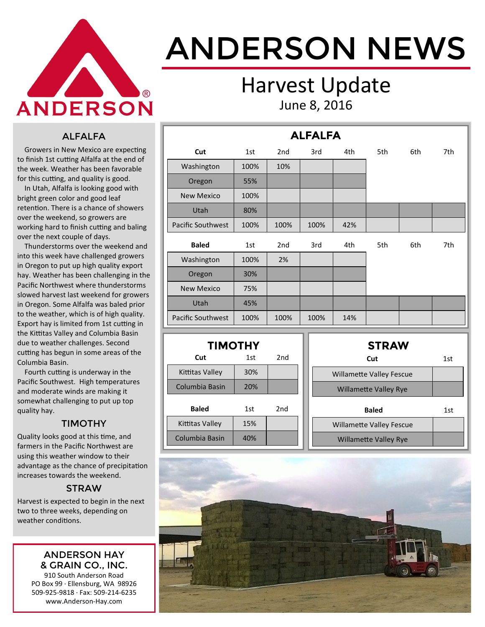

# ANDERSON NEWS

### Harvest Update June 8, 2016

#### ALFALFA

 Growers in New Mexico are expecting to finish 1st cutting Alfalfa at the end of the week. Weather has been favorable for this cutting, and quality is good.

 In Utah, Alfalfa is looking good with bright green color and good leaf retention. There is a chance of showers over the weekend, so growers are working hard to finish cutting and baling over the next couple of days.

 Thunderstorms over the weekend and into this week have challenged growers in Oregon to put up high quality export hay. Weather has been challenging in the Pacific Northwest where thunderstorms slowed harvest last weekend for growers in Oregon. Some Alfalfa was baled prior to the weather, which is of high quality. Export hay is limited from 1st cutting in the Kittitas Valley and Columbia Basin due to weather challenges. Second cutting has begun in some areas of the Columbia Basin.

 Fourth cutting is underway in the Pacific Southwest. High temperatures and moderate winds are making it somewhat challenging to put up top quality hay.

#### TIMOTHY

Quality looks good at this time, and farmers in the Pacific Northwest are using this weather window to their advantage as the chance of precipitation increases towards the weekend.

#### **STRAW**

Harvest is expected to begin in the next two to three weeks, depending on weather conditions.

#### ANDERSON HAY & GRAIN CO., INC.

910 South Anderson Road PO Box 99 · Ellensburg, WA 98926 509-925-9818 · Fax: 509-214-6235 www.Anderson-Hay.com

| <b>ALFALFA</b>           |      |                 |      |     |     |     |     |  |  |
|--------------------------|------|-----------------|------|-----|-----|-----|-----|--|--|
| Cut                      | 1st  | 2 <sub>nd</sub> | 3rd  | 4th | 5th | 6th | 7th |  |  |
| Washington               | 100% | 10%             |      |     |     |     |     |  |  |
| Oregon                   | 55%  |                 |      |     |     |     |     |  |  |
| <b>New Mexico</b>        | 100% |                 |      |     |     |     |     |  |  |
| Utah                     | 80%  |                 |      |     |     |     |     |  |  |
| Pacific Southwest        | 100% | 100%            | 100% | 42% |     |     |     |  |  |
| <b>Baled</b>             | 1st  | 2 <sub>nd</sub> | 3rd  | 4th | 5th | 6th | 7th |  |  |
| Washington               | 100% | 2%              |      |     |     |     |     |  |  |
| Oregon                   | 30%  |                 |      |     |     |     |     |  |  |
| <b>New Mexico</b>        | 75%  |                 |      |     |     |     |     |  |  |
| <b>Utah</b>              | 45%  |                 |      |     |     |     |     |  |  |
| <b>Pacific Southwest</b> | 100% | 100%            | 100% | 14% |     |     |     |  |  |

| <b>TIMOTHY</b>  |     |     |  |  |  |  |  |
|-----------------|-----|-----|--|--|--|--|--|
| Cut             | 1st | 2nd |  |  |  |  |  |
| Kittitas Valley | 30% |     |  |  |  |  |  |
| Columbia Basin  | 20% |     |  |  |  |  |  |
| Baled           | 1st | 2nd |  |  |  |  |  |
| Kittitas Valley | 15% |     |  |  |  |  |  |
| Columbia Basin  | 40% |     |  |  |  |  |  |

| <b>STRAW</b>                    |     |
|---------------------------------|-----|
| Cut                             | 1st |
| <b>Willamette Valley Fescue</b> |     |
| <b>Willamette Valley Rye</b>    |     |
| <b>Baled</b>                    | 1st |
| <b>Willamette Valley Fescue</b> |     |
| <b>Willamette Valley Rye</b>    |     |